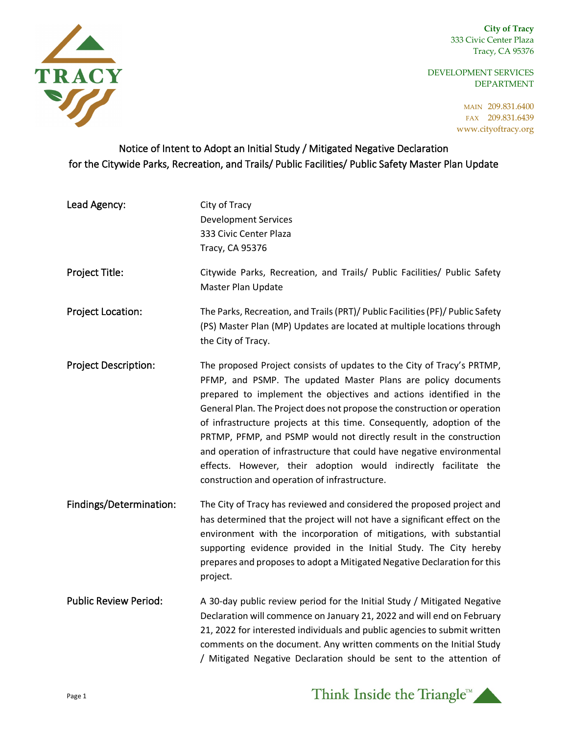**City of Tracy** 333 Civic Center Plaza Tracy, CA 95376

DEVELOPMENT SERVICES DEPARTMENT

> MAIN 209.831.6400 FAX 209.831.6439 www.cityoftracy.org



## Notice of Intent to Adopt an Initial Study / Mitigated Negative Declaration for the Citywide Parks, Recreation, and Trails/ Public Facilities/ Public Safety Master Plan Update

| Lead Agency:                 | City of Tracy<br><b>Development Services</b><br>333 Civic Center Plaza<br>Tracy, CA 95376                                                                                                                                                                                                                                                                                                                                                                                                                                                                                                                                                 |
|------------------------------|-------------------------------------------------------------------------------------------------------------------------------------------------------------------------------------------------------------------------------------------------------------------------------------------------------------------------------------------------------------------------------------------------------------------------------------------------------------------------------------------------------------------------------------------------------------------------------------------------------------------------------------------|
| Project Title:               | Citywide Parks, Recreation, and Trails/ Public Facilities/ Public Safety<br>Master Plan Update                                                                                                                                                                                                                                                                                                                                                                                                                                                                                                                                            |
| Project Location:            | The Parks, Recreation, and Trails (PRT)/ Public Facilities (PF)/ Public Safety<br>(PS) Master Plan (MP) Updates are located at multiple locations through<br>the City of Tracy.                                                                                                                                                                                                                                                                                                                                                                                                                                                           |
| <b>Project Description:</b>  | The proposed Project consists of updates to the City of Tracy's PRTMP,<br>PFMP, and PSMP. The updated Master Plans are policy documents<br>prepared to implement the objectives and actions identified in the<br>General Plan. The Project does not propose the construction or operation<br>of infrastructure projects at this time. Consequently, adoption of the<br>PRTMP, PFMP, and PSMP would not directly result in the construction<br>and operation of infrastructure that could have negative environmental<br>effects. However, their adoption would indirectly facilitate the<br>construction and operation of infrastructure. |
| Findings/Determination:      | The City of Tracy has reviewed and considered the proposed project and<br>has determined that the project will not have a significant effect on the<br>environment with the incorporation of mitigations, with substantial<br>supporting evidence provided in the Initial Study. The City hereby<br>prepares and proposes to adopt a Mitigated Negative Declaration for this<br>project.                                                                                                                                                                                                                                                  |
| <b>Public Review Period:</b> | A 30-day public review period for the Initial Study / Mitigated Negative<br>Declaration will commence on January 21, 2022 and will end on February<br>21, 2022 for interested individuals and public agencies to submit written<br>comments on the document. Any written comments on the Initial Study<br>/ Mitigated Negative Declaration should be sent to the attention of                                                                                                                                                                                                                                                             |